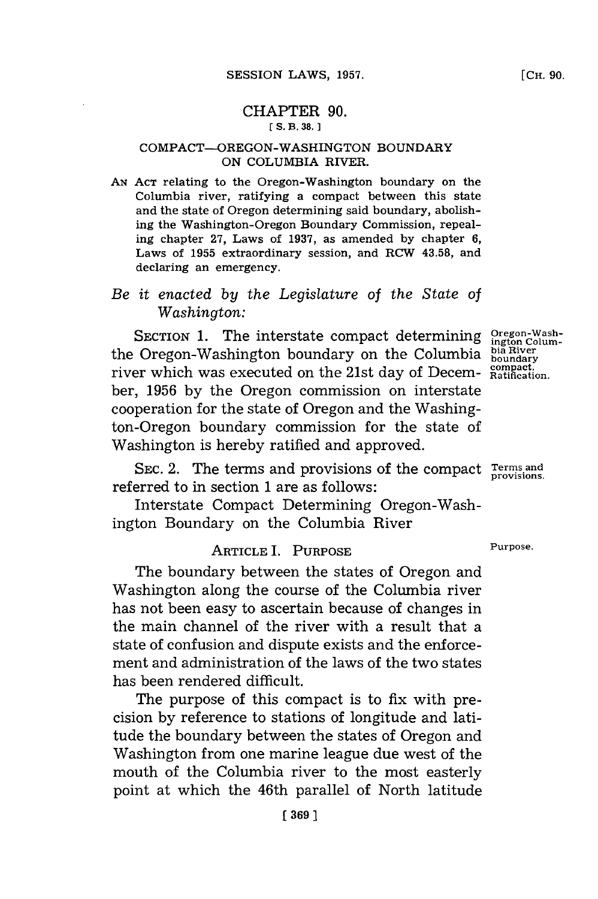#### CHAPTER **90. [ S. B. 38. ]**

#### **COMPACT-OREGON-WASHINGTON BOUNDARY ON COLUMBIA RIVER.**

*AN* **ACT** relating to the Oregon-Washington boundary on the Columbia river, ratifying a compact between this state and the state of Oregon determining said boundary, abolishing the Washington-Oregon Boundary Commission, repealing chapter **27,** Laws of **1937,** as amended **by** chapter **6,** Laws of **1955** extraordinary session, and RCW **43.58,** and declaring an emergency.

### *Be it enacted by the Legislature* of *the State of Washington:*

**SECTION 1. The interstate compact determining Oregon-Wash-<br>
<b>Oregon-Washington boundary on the Columbia** <sup>bia River</sup> the Oregon-Washington boundary on the Columbia bia River river which was executed on the 21st day of Decem- compact. ber, **1956 by** the Oregon commission on interstate cooperation for the state of Oregon and the Washington-Oregon boundary commission for the state of Washington is hereby ratified and approved.

SEC. 2. The terms and provisions of the compact **Terms** and provisions. referred to in section **1** are as follows:

Interstate Compact Determining Oregon-Washington Boundary on the Columbia River

# ARTICLE I. PURPOSE Purpose.

The boundary between the states of Oregon and Washington along the course of the Columbia river has not been easy to ascertain because of changes in the main channel of the river with a result that a state of confusion and dispute exists and the enforcement and administration of the laws of the two states has been rendered difficult.

The purpose of this compact is to fix with precision **by** reference to stations of longitude and latitude the boundary between the states of Oregon and Washington from one marine league due west of the mouth of the Columbia river to the most easterly point at which the 46th parallel of North latitude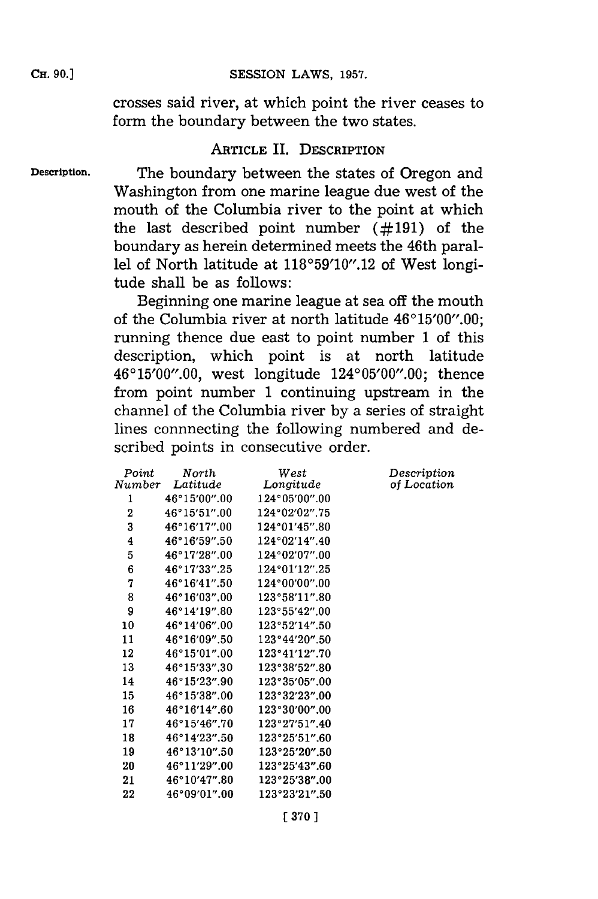crosses said river, at which point the river ceases to form the boundary between the two states.

### ARTICLE IL. DESCRIPTION

Description.

CH. **90.]**

The boundary between the states of Oregon and Washington from one marine league due west of the mouth of the Columbia river to the point at which the last described point number **(#191)** of the boundary as herein determined meets the 46th parallel of North latitude at 118°59'10".12 of West longitude shall be as follows:

Beginning one marine league at sea off the mouth of the Columbia river at north latitude  $46^{\circ}15'00''.00$ ; running thence due east to point number **1** of this description, which point is at north latitude 46'15'00".00, west longitude 124'05'00".00; thence from point number **1** continuing upstream in the channel of the Columbia river **by** a series of straight lines connnecting the following numbered and described points in consecutive order.

| North         | West          | Description |
|---------------|---------------|-------------|
| Number        |               | of Location |
| 46°15′00″.00  | 124°05′00″.00 |             |
| 46°15'51".00  | 124°02'02".75 |             |
| 46°16'17''.00 | 124°01'45".80 |             |
| 46°16′59″.50  | 124°02'14".40 |             |
| 46°17'28".00  | 124°02'07".00 |             |
| 46°17'33".25  | 124°01'12".25 |             |
| 46°16′41″.50  | 124°00'00".00 |             |
| 46°16′03″.00  | 123°58'11".80 |             |
| 46°14'19".80  | 123°55'42".00 |             |
| 46°14′06″.00  | 123°52′14″.50 |             |
| 46°16′09″.50  | 123°44′20″.50 |             |
| 46°15′01″.00  | 123°41'12".70 |             |
| 46°15'33".30  | 123°38′52″.80 |             |
| 46°15'23".90  | 123°35'05".00 |             |
| 46°15′38″.00  | 123°32'23".00 |             |
| 46°16'14".60  | 123°30′00″.00 |             |
| 46°15′46″.70  | 123°27′51″.40 |             |
| 46°14′23″.50  | 123°25'51".60 |             |
| 46°13'10".50  | 123°25'20".50 |             |
| 46°11′29″.00  | 123°25′43″.60 |             |
| 46°10'47".80  | 123°25'38".00 |             |
| 46°09'01".00  | 123°23'21".50 |             |
|               | Latitude      | Longitude   |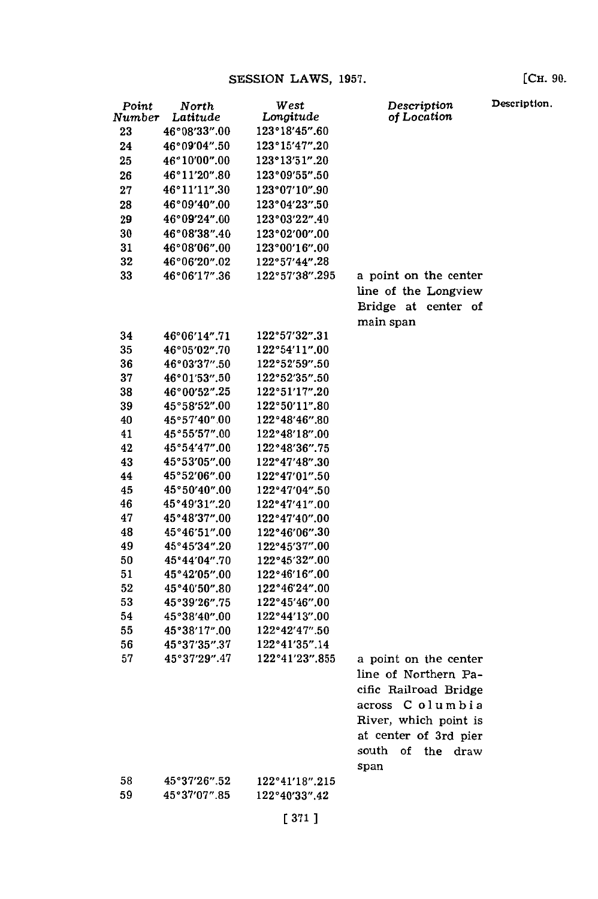| Point  | North        | West           | Description                | Description |
|--------|--------------|----------------|----------------------------|-------------|
| Number | Latitude     | Longitude      | of Location                |             |
| 23     | 46°08'33".00 | 123°18'45".60  |                            |             |
| 24     | 46°09′04″.50 | 123°15'47".20  |                            |             |
| 25     | 46°10′00″.00 | 123°13'51".20  |                            |             |
| 26     | 46°11'20".80 | 123°09'55".50  |                            |             |
| 27     | 46°11'11".30 | 123°07'10".90  |                            |             |
| 28     | 46°09'40".00 | 123°04'23".50  |                            |             |
| 29     | 46°09′24″.00 | 123°03'22".40  |                            |             |
| 30     | 46°08'38".40 | 123°02'00".00  |                            |             |
| 31     | 46°08′06″.00 | 123°00'16".00  |                            |             |
| 32     | 46°06'20".02 | 122°57'44".28  |                            |             |
| 33     | 46°06'17".36 | 122°57'38".295 | a point on the center      |             |
|        |              |                | line of the Longview       |             |
|        |              |                | Bridge at center of        |             |
|        |              |                | main span                  |             |
| 34     | 46°06′14″.71 | 122°57'32".31  |                            |             |
| 35     | 46°05′02″.70 | 122°54′11″.00  |                            |             |
| 36     | 46°03'37".50 | 122°52'59".50  |                            |             |
| 37     | 46°01'53".50 | 122°52′35″.50  |                            |             |
| 38     | 46°00'52".25 | 122°51'17".20  |                            |             |
| 39     | 45°58'52".00 | 122°50'11″.80  |                            |             |
| 40     | 45°57'40".00 | 122°48'46".80  |                            |             |
| 41     | 45°55'57".00 | 122°48'18".00  |                            |             |
| 42     | 45°54'47".00 | 122°48'36".75  |                            |             |
| 43     | 45°53'05".00 | 122°47'48".30  |                            |             |
| 44     | 45°52'06".00 | 122°47'01".50  |                            |             |
| 45     | 45°50'40".00 | 122°47'04".50  |                            |             |
| 46     | 45°49′31″.20 | 122°47'41".00  |                            |             |
| 47     | 45°48'37".00 | 122°47'40".00  |                            |             |
| 48     | 45°46'51".00 | 122°46'06".30  |                            |             |
| 49     | 45°45′34″.20 | 122°45'37".00  |                            |             |
| 50     | 45°44'04".70 | 122°45'32".00  |                            |             |
| 51     | 45°42′05″.00 | 122°46'16".00  |                            |             |
| 52     | 45°40'50".80 | 122°46'24".00  |                            |             |
| 53     | 45°39′26″.75 | 122°45'46".00  |                            |             |
| 54     | 45°38'40".00 | 122°44'13".00  |                            |             |
| 55     | 45°38′17″.00 | 122°42'47".50  |                            |             |
| 56     | 45°37'35".37 | 122°41'35".14  |                            |             |
| 57     | 45°37′29″.47 | 122°41'23".855 | a point on the center      |             |
|        |              |                | line of Northern Pa-       |             |
|        |              |                |                            |             |
|        |              |                | cific Railroad Bridge      |             |
|        |              |                | across Columbia            |             |
|        |              |                | River, which point is      |             |
|        |              |                | at center of 3rd pier      |             |
|        |              |                | south<br>of<br>the<br>draw |             |
|        |              |                | span                       |             |
| 58     | 45°37′26″.52 | 122°41′18″.215 |                            |             |
| 59     | 45°37'07".85 | 122°40'33".42  |                            |             |
|        |              |                |                            |             |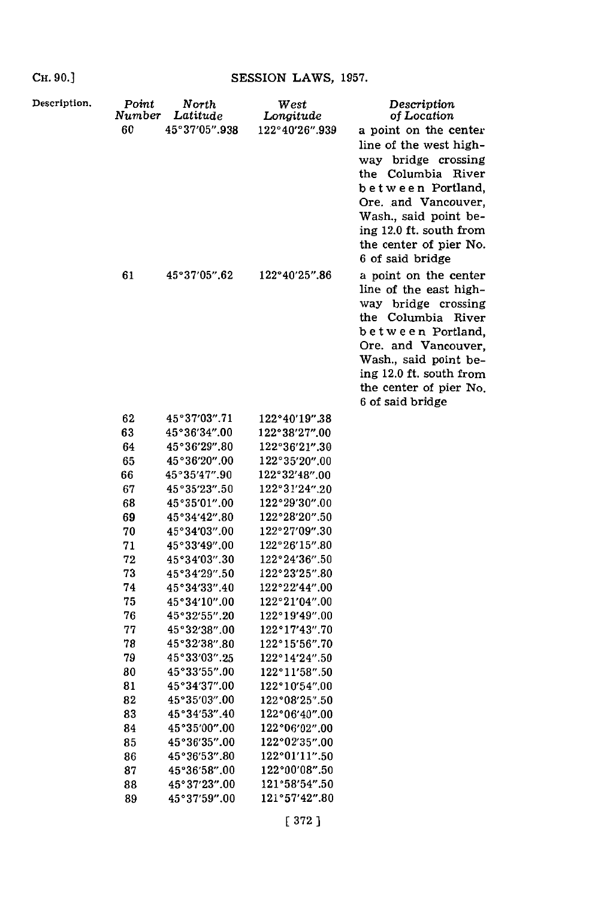**CH. 90.1**

| Description. | Point<br>Number<br>60 | North<br>Latitude<br>45°37'05".938 | West<br>Longitude<br>122°40'26".939 | Description<br>of Location<br>a point on the center                                                                                                                                                                                                                                                                                                                                                                                                             |
|--------------|-----------------------|------------------------------------|-------------------------------------|-----------------------------------------------------------------------------------------------------------------------------------------------------------------------------------------------------------------------------------------------------------------------------------------------------------------------------------------------------------------------------------------------------------------------------------------------------------------|
|              | 61                    | 45°37′05″.62                       | 122°40'25".86                       | line of the west high-<br>way bridge crossing<br>the Columbia River<br>between Portland,<br>Ore. and Vancouver,<br>Wash., said point be-<br>ing 12.0 ft. south from<br>the center of pier No.<br>6 of said bridge<br>a point on the center<br>line of the east high-<br>way bridge crossing<br>the Columbia River<br>between Portland,<br>Ore. and Vancouver,<br>Wash., said point be-<br>ing 12.0 ft. south from<br>the center of pier No.<br>6 of said bridge |
|              | 62                    | 45°37′03″.71                       | 122°40'19''.38                      |                                                                                                                                                                                                                                                                                                                                                                                                                                                                 |
|              | 63                    | 45°36′34″.00                       | 122°38'27".00                       |                                                                                                                                                                                                                                                                                                                                                                                                                                                                 |
|              | 64                    | 45°36'29".80                       | 122°36'21".30                       |                                                                                                                                                                                                                                                                                                                                                                                                                                                                 |
|              | 65                    | 45°36'20".00                       | 122°35'20".00                       |                                                                                                                                                                                                                                                                                                                                                                                                                                                                 |
|              | 66                    | 45°35'47".90                       | 122°32'48".00                       |                                                                                                                                                                                                                                                                                                                                                                                                                                                                 |
|              | 67                    | 45°35′23″.50                       | 122°31′24″.20                       |                                                                                                                                                                                                                                                                                                                                                                                                                                                                 |
|              | 68                    | 45°35′01″.00                       | 122°29′30″.00                       |                                                                                                                                                                                                                                                                                                                                                                                                                                                                 |
|              | 69                    | 45°34′42″.80                       | 122°28'20".50                       |                                                                                                                                                                                                                                                                                                                                                                                                                                                                 |
|              | 70<br>71              | 45°34′03″.00                       | 122°27'09".30                       |                                                                                                                                                                                                                                                                                                                                                                                                                                                                 |
|              | 72                    | 45°33'49".00<br>45°34′03″.30       | 122°26'15".80<br>122°24'36".50      |                                                                                                                                                                                                                                                                                                                                                                                                                                                                 |
|              | 73                    | 45°34'29".50                       | 122°23'25".80                       |                                                                                                                                                                                                                                                                                                                                                                                                                                                                 |
|              | 74                    | 45°34'33".40                       | 122°22'44".00                       |                                                                                                                                                                                                                                                                                                                                                                                                                                                                 |
|              | 75                    | 45°34'10".00                       | 122°21′04″.00                       |                                                                                                                                                                                                                                                                                                                                                                                                                                                                 |
|              | 76                    | 45°32'55".20                       | 122°19'49".00                       |                                                                                                                                                                                                                                                                                                                                                                                                                                                                 |
|              | 77                    | 45°32′38″.00                       | 122°17'43".70                       |                                                                                                                                                                                                                                                                                                                                                                                                                                                                 |
|              | 78                    | 45°32'38".80                       | 122°15′56″.70                       |                                                                                                                                                                                                                                                                                                                                                                                                                                                                 |
|              | 79                    | 45°33'03".25                       | 122°14'24".50                       |                                                                                                                                                                                                                                                                                                                                                                                                                                                                 |
|              | 80                    | 45°33'55".00                       | $122^{\circ}11'58''.50$             |                                                                                                                                                                                                                                                                                                                                                                                                                                                                 |
|              | 81                    | 45°34′37″.00                       | 122°10'54".00                       |                                                                                                                                                                                                                                                                                                                                                                                                                                                                 |
|              | 82                    | 45°35′03″.00                       | 122°08'25".50                       |                                                                                                                                                                                                                                                                                                                                                                                                                                                                 |
|              | 83                    | 45°34′53″.40                       | $122^{\circ}06'40''.00$             |                                                                                                                                                                                                                                                                                                                                                                                                                                                                 |
|              | 84                    | 45°35'00".00                       | 122°06'02".00                       |                                                                                                                                                                                                                                                                                                                                                                                                                                                                 |
|              | 85                    | 45°36'35".00                       | 122°02'35".00                       |                                                                                                                                                                                                                                                                                                                                                                                                                                                                 |
|              | 86                    | 45°36′53″.80                       | 122°01'11".50                       |                                                                                                                                                                                                                                                                                                                                                                                                                                                                 |
|              | 87                    | 45°36'58".00                       | 122°00'08".50                       |                                                                                                                                                                                                                                                                                                                                                                                                                                                                 |
|              | 88                    | 45°37'23".00                       | 121°58'54".50                       |                                                                                                                                                                                                                                                                                                                                                                                                                                                                 |
|              | 89                    | 45°37'59".00                       | 121°57'42".80                       |                                                                                                                                                                                                                                                                                                                                                                                                                                                                 |
|              |                       |                                    | [372]                               |                                                                                                                                                                                                                                                                                                                                                                                                                                                                 |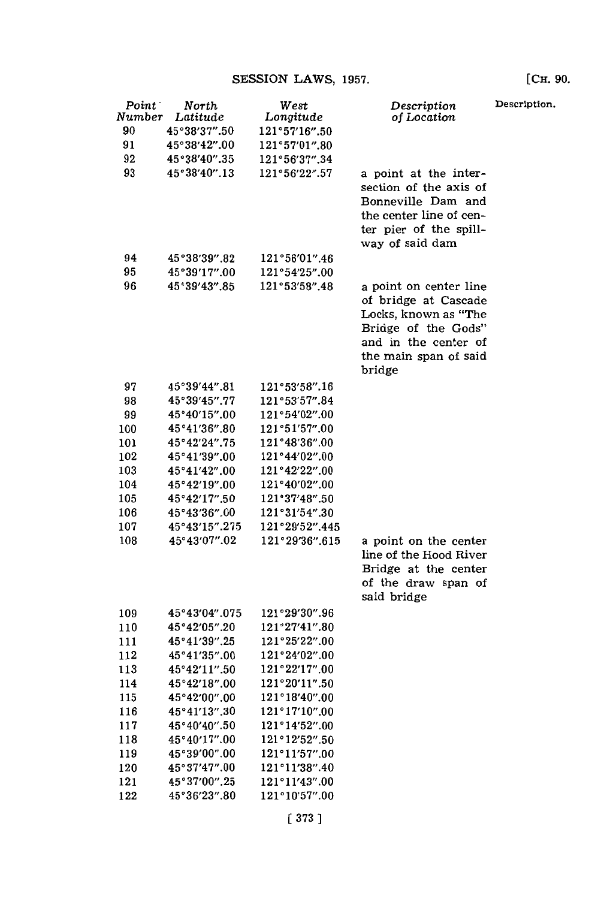| $Point^+$ | North<br>Number Latitude | West                        | Description                                                                                                                                              | Descrip |
|-----------|--------------------------|-----------------------------|----------------------------------------------------------------------------------------------------------------------------------------------------------|---------|
| 90        | 45°38'37".50             | Longitude<br>121°57'16''.50 | of Location                                                                                                                                              |         |
| 91        | 45°38'42".00             | 121°57'01".80               |                                                                                                                                                          |         |
|           |                          |                             |                                                                                                                                                          |         |
| 92        | 45°38'40".35             | 121°56'37".34               |                                                                                                                                                          |         |
| 93        | 45°38'40".13             | 121°56'22".57               | a point at the inter-<br>section of the axis of<br>Bonneville Dam and<br>the center line of cen-                                                         |         |
|           |                          |                             | ter pier of the spill-<br>way of said dam                                                                                                                |         |
| 94        | 45°38′39″.82             | 121°56′01″.46               |                                                                                                                                                          |         |
| 95        | 45°39'17".00             | 121°54'25".00               |                                                                                                                                                          |         |
| 96        | 45°39'43".85             | 121°53′58″.48               | a point on center line<br>of bridge at Cascade<br>Locks, known as "The<br>Bridge of the Gods"<br>and in the center of<br>the main span of said<br>bridge |         |
| 97        | 45°39'44".81             | 121°53'58".16               |                                                                                                                                                          |         |
| 98        | 45°39'45".77             | 121°53'57".84               |                                                                                                                                                          |         |
| 99        | 45°40'15".00             | 121°54'02".00               |                                                                                                                                                          |         |
| 100       | 45°41'36".80             | 121°51'57".00               |                                                                                                                                                          |         |
| 101       | 45°42'24".75             | 121°48'36".00               |                                                                                                                                                          |         |
| 102       | 45°41'39".00             | 121°44'02".00               |                                                                                                                                                          |         |
| 103       | 45°41'42".00             | 121°42'22".00               |                                                                                                                                                          |         |
| 104       | 45°42'19".00             | 121°40'02".00               |                                                                                                                                                          |         |
| 105       | 45°42'17".50             | 121°37'48".50               |                                                                                                                                                          |         |
| 106       | 45°43'36".00             | 121°31'54".30               |                                                                                                                                                          |         |
| 107       | 45°43'15".275            | 121°29'52".445              |                                                                                                                                                          |         |
| 108       | 45°43'07".02             | 121°29'36".615              | a point on the center<br>line of the Hood River<br>Bridge at the center                                                                                  |         |
|           |                          |                             | of the draw span of<br>said bridge                                                                                                                       |         |
| 109       | 45°43′04″.075            | 121°29′30″.96               |                                                                                                                                                          |         |
| 110       | 45°42'05".20             | 121°27′41″.80               |                                                                                                                                                          |         |
| 111       | 45°41'39".25             | 121°25'22".00               |                                                                                                                                                          |         |
| 112       | 45°41'35".00             | 121°24'02".00               |                                                                                                                                                          |         |
| 113       | 45°42'11".50             | 121°22'17".00               |                                                                                                                                                          |         |
| 114       | 45°42'18".00             | 121°20'11".50               |                                                                                                                                                          |         |
| 115       | 45°42′00″.00             | 121°18'40".00               |                                                                                                                                                          |         |
| 116       | 45°41'13".30             | 121°17'10".00               |                                                                                                                                                          |         |
| 117       | 45°40′40″.50             | 121°14′52″.00               |                                                                                                                                                          |         |
| 118       | 45°40'17".00             | 121°12'52".50               |                                                                                                                                                          |         |
| 119       | 45°39′00″.00             | 121°11'57".00               |                                                                                                                                                          |         |
| 120       | 45°37′47″.00             | 121°11'38".40               |                                                                                                                                                          |         |
| 121       | 45°37′00″.25             | 121°11'43".00               |                                                                                                                                                          |         |
|           |                          |                             |                                                                                                                                                          |         |

**Description.**

[CH. **90.**

**[ 373]**

**1210 10'57".00**

122 **45036'23".80**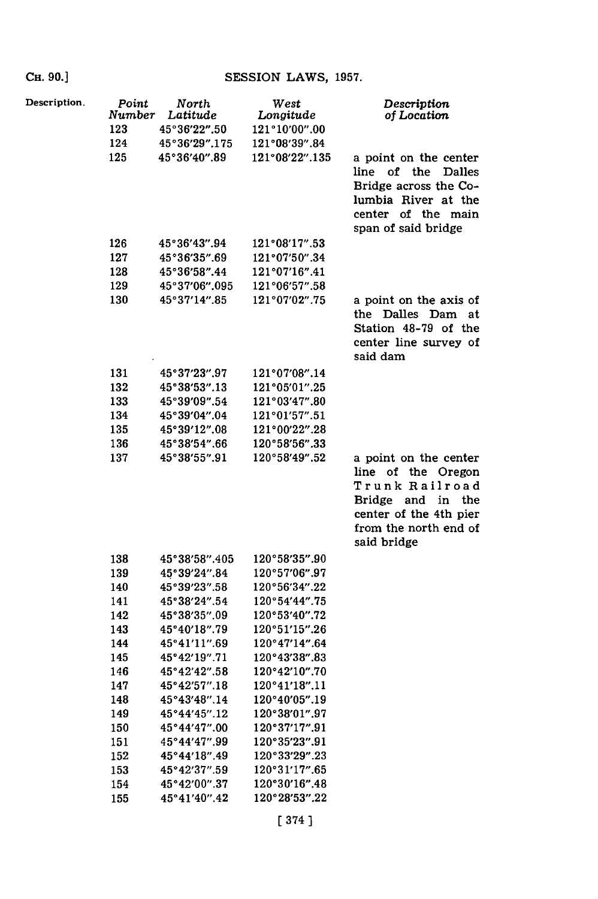| Description. | Point<br>Number<br>123<br>124 | North<br>Latitude<br>45°36'22".50<br>45°36′29″.175 | West<br>Longitude<br>121°10'00".00<br>121°08'39".84 | Description<br>of Location                                                                                                                              |
|--------------|-------------------------------|----------------------------------------------------|-----------------------------------------------------|---------------------------------------------------------------------------------------------------------------------------------------------------------|
|              | 125                           | 45°36'40".89                                       | 121°08'22".135                                      | a point on the center<br>of the<br>line :<br><b>Dalles</b><br>Bridge across the Co-<br>lumbia River at the<br>center of the main<br>span of said bridge |
|              | 126                           | 45°36'43".94                                       | 121°08'17".53                                       |                                                                                                                                                         |
|              | 127                           | 45°36′35″.69                                       | 121°07'50".34                                       |                                                                                                                                                         |
|              | 128                           | 45°36'58".44                                       | 121°07'16".41                                       |                                                                                                                                                         |
|              | 129                           | 45°37'06".095                                      | 121°06'57".58                                       |                                                                                                                                                         |
|              | 130                           | 45°37'14".85                                       | 121°07'02".75                                       | a point on the axis of<br>the Dalles Dam<br>at<br>Station 48-79 of the<br>center line survey of<br>said dam                                             |
|              | 131                           | 45°37′23″.97                                       | 121°07′08″.14                                       |                                                                                                                                                         |
|              | 132                           | 45°38′53″.13                                       | 121°05'01".25                                       |                                                                                                                                                         |
|              | 133                           | 45°39′09″.54                                       | 121°03'47".80                                       |                                                                                                                                                         |
|              | 134                           | 45°39'04".04                                       | 121°01'57".51                                       |                                                                                                                                                         |
|              | 135                           | 45°39′12″.08                                       | 121°00'22".28                                       |                                                                                                                                                         |
|              | 136                           | 45°38′54″.66                                       | 120°58'56".33                                       |                                                                                                                                                         |
|              | 137                           | 45°38'55".91                                       | 120°58'49".52                                       | a point on the center<br>line of the Oregon<br>Trunk Railroad<br>Bridge and in the<br>center of the 4th pier<br>from the north end of<br>said bridge    |
|              | 138                           | 45°38′58″.405                                      | 120°58'35".90                                       |                                                                                                                                                         |
|              | 139                           | 45°39′24″.84                                       | 120°57'06".97                                       |                                                                                                                                                         |
|              | 140                           | 45°39′23″.58                                       | 120°56′34″.22                                       |                                                                                                                                                         |
|              | 141                           | 45°38'24".54                                       | 120°54'44".75                                       |                                                                                                                                                         |
|              | 142                           | 45°38′35″.09                                       | 120°53'40".72                                       |                                                                                                                                                         |
|              | 143                           | 45°40'18".79                                       | 120°51'15".26                                       |                                                                                                                                                         |
|              | 144                           | 45°41'11".69                                       | 120°47'14".64                                       |                                                                                                                                                         |
|              | 145                           | 45°42'19".71                                       | 120°43'38".83                                       |                                                                                                                                                         |
|              | 146                           | 45°42'42".58                                       | 120°42'10".70                                       |                                                                                                                                                         |
|              | 147                           | 45°42'57".18                                       | 120°41'18".11                                       |                                                                                                                                                         |
|              | 148                           | 45°43'48".14                                       | 120°40'05".19                                       |                                                                                                                                                         |
|              | 149                           | 45°44'45".12                                       | 120°38'01".97                                       |                                                                                                                                                         |
|              | 150                           | 45°44'47".00                                       | 120°37'17".91                                       |                                                                                                                                                         |
|              | 151                           | 45°44'47".99                                       | 120°35'23".91                                       |                                                                                                                                                         |
|              | 152                           | 45°44'18".49                                       | 120°33'29".23                                       |                                                                                                                                                         |
|              | 153                           | 45°42′37″.59                                       | 120°31′17″.65                                       |                                                                                                                                                         |
|              | 154                           | 45°42′00″.37                                       | 120°30′16″.48                                       |                                                                                                                                                         |
|              | 155                           | 45°41'40".42                                       | 120°28′53″.22                                       |                                                                                                                                                         |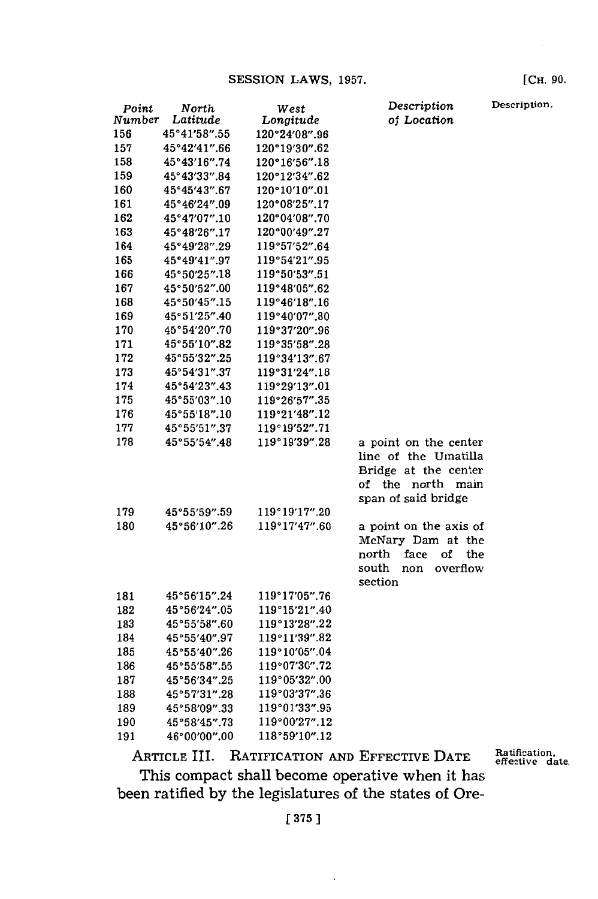| Point<br>Number | North<br>Latitude            | West                       | Description<br>of Location | Description. |
|-----------------|------------------------------|----------------------------|----------------------------|--------------|
| 156             | 45°41'58".55                 | Longitude<br>120°24'08".96 |                            |              |
| 157             | 45°42'41".66                 | 120°19'30".62              |                            |              |
| 158             | 45°43'16".74                 | 120°16'56".18              |                            |              |
| 159             | 45°43′33″.84                 | 120°12'34".62              |                            |              |
| 160             | 45°45′43″.67                 | 120°10'10".01              |                            |              |
| 161             | 45°46'24".09                 | 120°08'25".17              |                            |              |
| 162             | 45°47'07".10                 | 120°04'08".70              |                            |              |
| 163             | 45°48'26".17                 | 120°00'49".27              |                            |              |
| 164             | 45°49'28".29                 | 119°57'52".64              |                            |              |
| 165             | 45°49'41".97                 | 119°54'21".95              |                            |              |
| 166             | 45°50'25".18                 | 119°50'53".51              |                            |              |
| 167             | 45°50′52″.00                 | 119°48'05".62              |                            |              |
| 168             | 45°50'45".15                 | 119°46'18".16              |                            |              |
| 169             | 45°51'25".40                 | 119°40'07".80              |                            |              |
| 170             | 45°54'20".70                 | 119°37'20".96              |                            |              |
| 171             | 45°55'10".82                 | 119°35'58".28              |                            |              |
| 172             | 45°55′32″.25                 | 119°34'13".67              |                            |              |
| 173             | 45°54'31".37                 | 119°31'24".18              |                            |              |
| 174             | 45°54'23".43                 | 119°29'13".01              |                            |              |
| 175             |                              | 119°26'57".35              |                            |              |
| 176             | 45°55'03".10<br>45°55'18".10 | 119°21'48".12              |                            |              |
|                 | 45°55'51".37                 | 119°19'52".71              |                            |              |
| 177             |                              |                            |                            |              |
| 178             | 45°55′54″.48                 | 119°19′39″.28              | a point on the center      |              |
|                 |                              |                            | line of the Umatilla       |              |
|                 |                              |                            | Bridge at the center       |              |
|                 |                              |                            | of the north main          |              |
|                 |                              |                            | span of said bridge        |              |
| 179             | 45°55′59″.59                 | 119°19'17".20              |                            |              |
| 180             | 45°56′10″.26                 | 119°17'47".60              | a point on the axis of     |              |
|                 |                              |                            | McNary Dam at the          |              |
|                 |                              |                            | face<br>north<br>of<br>the |              |
|                 |                              |                            | south<br>overflow<br>non   |              |
|                 |                              |                            | section                    |              |
| 181             | 45°56'15".24                 | 119°17'05".76              |                            |              |
| 182             | 45°56′24″.05                 | 119°15'21".40              |                            |              |
| 183             | 45°55'58".60                 | 119°13'28".22              |                            |              |
| 184             | 45°55'40".97                 | 119°11'39".82              |                            |              |
| 185             | 45°55'40".26                 | 119°10'05".04              |                            |              |
| 186             | 45°55′58″.55                 | 119°07'30".72              |                            |              |
| 187             | 45°56′34″.25                 | 119°05'32".00              |                            |              |
| 188             | 45°57'31".28                 | 119°03′37″.36              |                            |              |
| 189             | 45°58′09″.33                 | 119°01'33".95              |                            |              |
| 190             | 45°58'45".73                 | 119°00'27".12              |                            |              |
| 191             | 46°00′00″.00                 | 118°59'10".12              |                            |              |

ARTICLE III. RATIFICATION **AND** EFFECTIVE **DATE** This compact shall become operative when it has been ratified **by** the legislatures of the states of Ore-

**[375** ]

[CH. **90.**

Ratification,<br>effective date